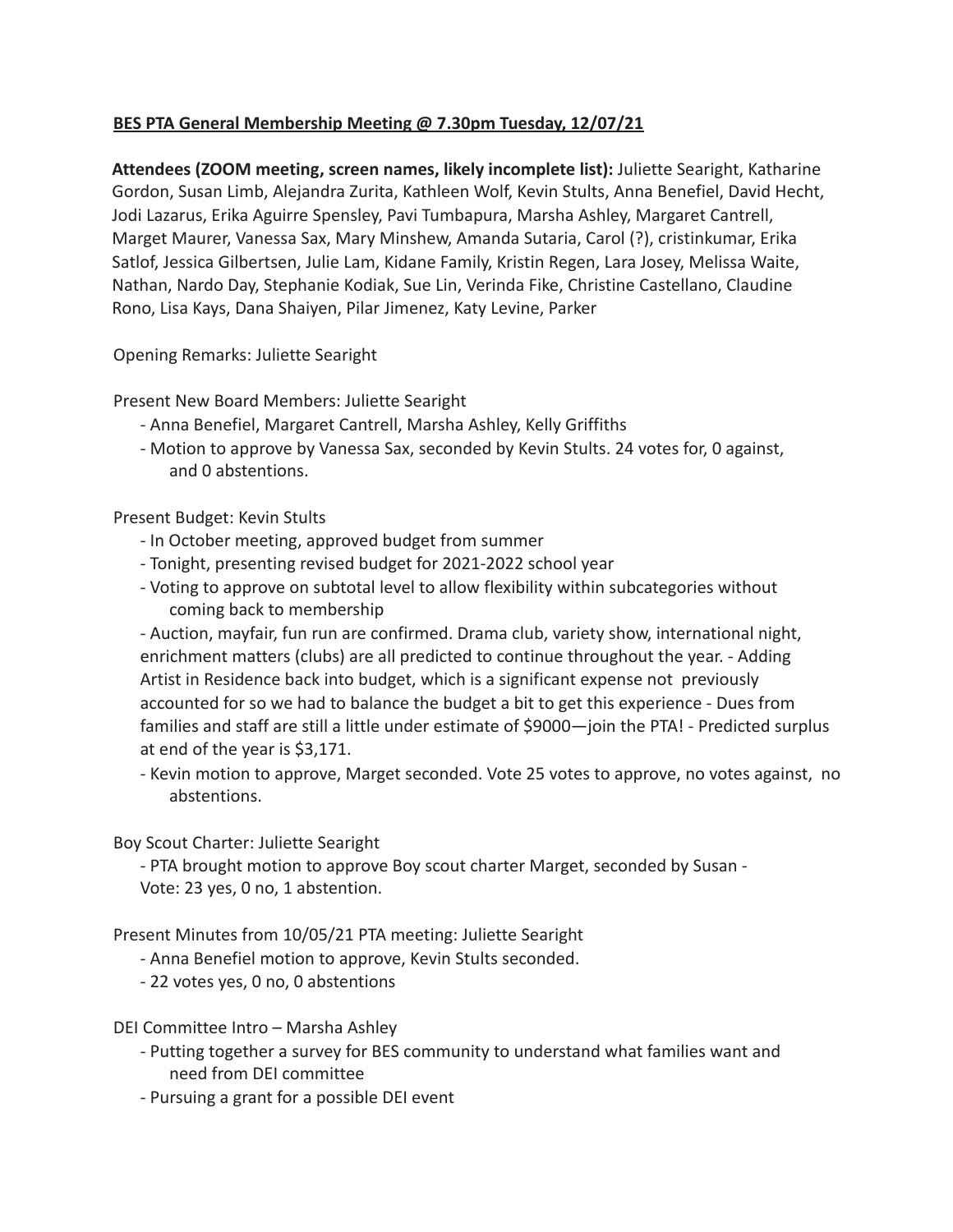## **BES PTA General Membership Meeting @ 7.30pm Tuesday, 12/07/21**

**Attendees (ZOOM meeting, screen names, likely incomplete list):** Juliette Searight, Katharine Gordon, Susan Limb, Alejandra Zurita, Kathleen Wolf, Kevin Stults, Anna Benefiel, David Hecht, Jodi Lazarus, Erika Aguirre Spensley, Pavi Tumbapura, Marsha Ashley, Margaret Cantrell, Marget Maurer, Vanessa Sax, Mary Minshew, Amanda Sutaria, Carol (?), cristinkumar, Erika Satlof, Jessica Gilbertsen, Julie Lam, Kidane Family, Kristin Regen, Lara Josey, Melissa Waite, Nathan, Nardo Day, Stephanie Kodiak, Sue Lin, Verinda Fike, Christine Castellano, Claudine Rono, Lisa Kays, Dana Shaiyen, Pilar Jimenez, Katy Levine, Parker

Opening Remarks: Juliette Searight

Present New Board Members: Juliette Searight

- Anna Benefiel, Margaret Cantrell, Marsha Ashley, Kelly Griffiths
- Motion to approve by Vanessa Sax, seconded by Kevin Stults. 24 votes for, 0 against, and 0 abstentions.

Present Budget: Kevin Stults

- In October meeting, approved budget from summer
- Tonight, presenting revised budget for 2021-2022 school year
- Voting to approve on subtotal level to allow flexibility within subcategories without coming back to membership

- Auction, mayfair, fun run are confirmed. Drama club, variety show, international night, enrichment matters (clubs) are all predicted to continue throughout the year. - Adding Artist in Residence back into budget, which is a significant expense not previously accounted for so we had to balance the budget a bit to get this experience - Dues from families and staff are still a little under estimate of \$9000—join the PTA! - Predicted surplus at end of the year is \$3,171.

- Kevin motion to approve, Marget seconded. Vote 25 votes to approve, no votes against, no abstentions.

Boy Scout Charter: Juliette Searight

- PTA brought motion to approve Boy scout charter Marget, seconded by Susan - Vote: 23 yes, 0 no, 1 abstention.

Present Minutes from 10/05/21 PTA meeting: Juliette Searight

- Anna Benefiel motion to approve, Kevin Stults seconded.
- 22 votes yes, 0 no, 0 abstentions

DEI Committee Intro – Marsha Ashley

- Putting together a survey for BES community to understand what families want and need from DEI committee
- Pursuing a grant for a possible DEI event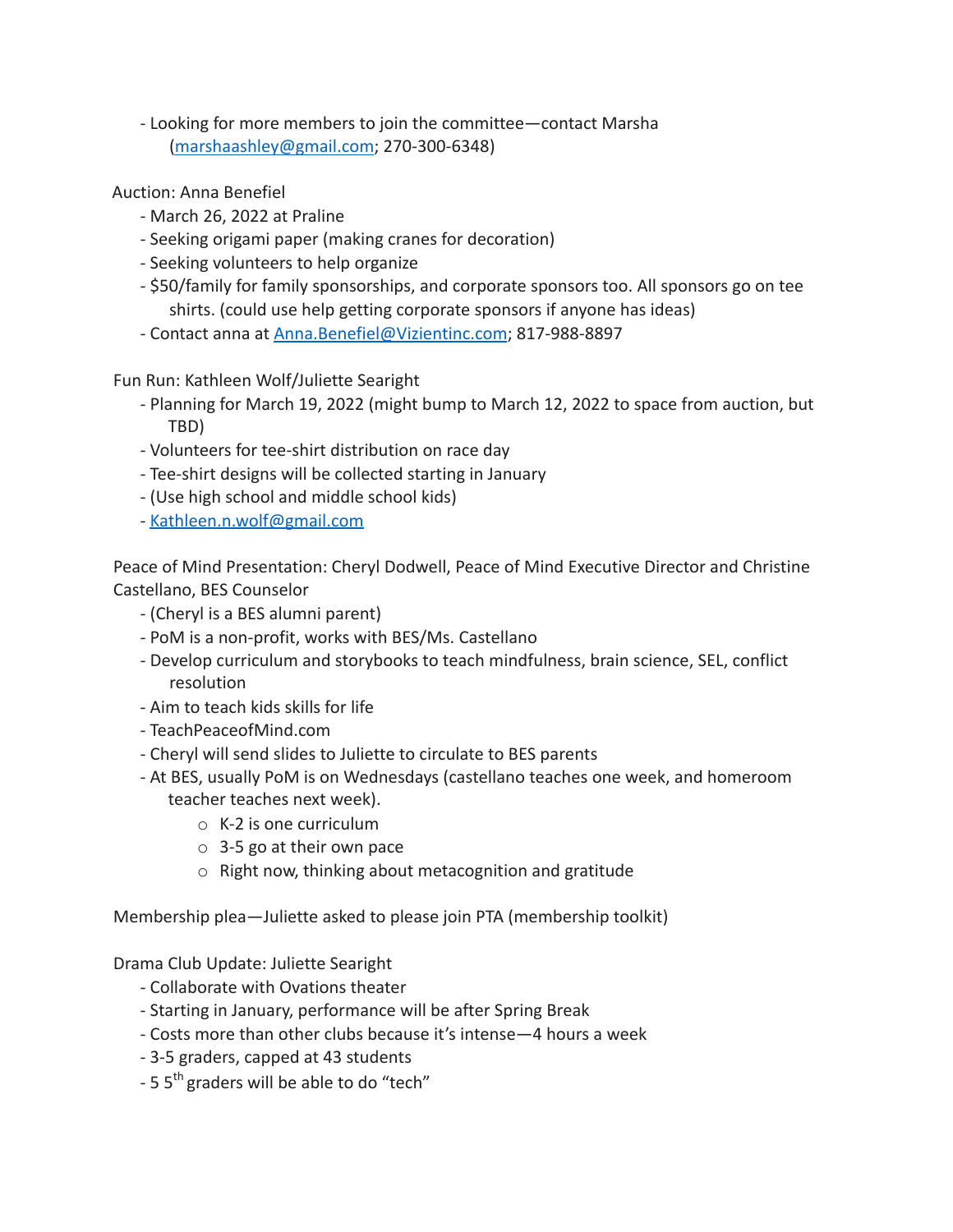- Looking for more members to join the committee—contact Marsha (marshaashley@gmail.com; 270-300-6348)
- Auction: Anna Benefiel
	- March 26, 2022 at Praline
	- Seeking origami paper (making cranes for decoration)
	- Seeking volunteers to help organize
	- \$50/family for family sponsorships, and corporate sponsors too. All sponsors go on tee shirts. (could use help getting corporate sponsors if anyone has ideas)
	- Contact anna at Anna.Benefiel@Vizientinc.com; 817-988-8897

Fun Run: Kathleen Wolf/Juliette Searight

- Planning for March 19, 2022 (might bump to March 12, 2022 to space from auction, but TBD)
- Volunteers for tee-shirt distribution on race day
- Tee-shirt designs will be collected starting in January
- (Use high school and middle school kids)
- Kathleen.n.wolf@gmail.com

Peace of Mind Presentation: Cheryl Dodwell, Peace of Mind Executive Director and Christine Castellano, BES Counselor

- (Cheryl is a BES alumni parent)
- PoM is a non-profit, works with BES/Ms. Castellano
- Develop curriculum and storybooks to teach mindfulness, brain science, SEL, conflict resolution
- Aim to teach kids skills for life
- TeachPeaceofMind.com
- Cheryl will send slides to Juliette to circulate to BES parents
- At BES, usually PoM is on Wednesdays (castellano teaches one week, and homeroom teacher teaches next week).
	- o K-2 is one curriculum
	- o 3-5 go at their own pace
	- o Right now, thinking about metacognition and gratitude

Membership plea—Juliette asked to please join PTA (membership toolkit)

Drama Club Update: Juliette Searight

- Collaborate with Ovations theater
- Starting in January, performance will be after Spring Break
- Costs more than other clubs because it's intense—4 hours a week
- 3-5 graders, capped at 43 students
- $-5.5$ <sup>th</sup> graders will be able to do "tech"